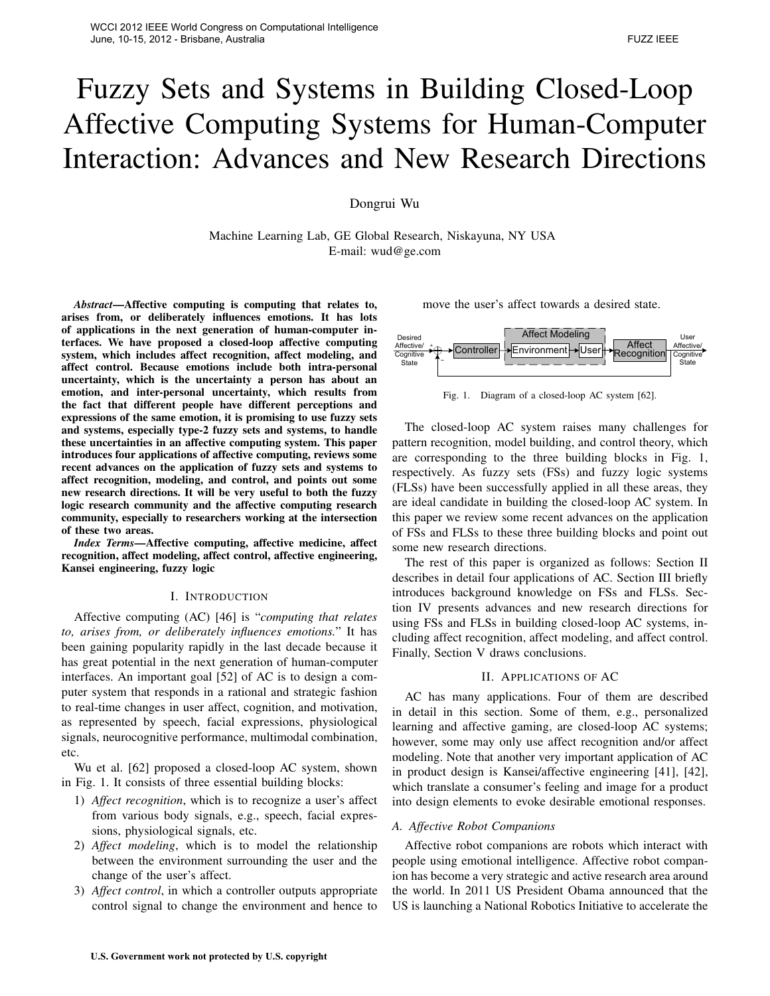# Fuzzy Sets and Systems in Building Closed-Loop Affective Computing Systems for Human-Computer Interaction: Advances and New Research Directions

Dongrui Wu

Machine Learning Lab, GE Global Research, Niskayuna, NY USA E-mail: wud@ge.com

*Abstract***—Affective computing is computing that relates to, arises from, or deliberately influences emotions. It has lots of applications in the next generation of human-computer interfaces. We have proposed a closed-loop affective computing system, which includes affect recognition, affect modeling, and affect control. Because emotions include both intra-personal uncertainty, which is the uncertainty a person has about an emotion, and inter-personal uncertainty, which results from the fact that different people have different perceptions and expressions of the same emotion, it is promising to use fuzzy sets and systems, especially type-2 fuzzy sets and systems, to handle these uncertainties in an affective computing system. This paper introduces four applications of affective computing, reviews some recent advances on the application of fuzzy sets and systems to affect recognition, modeling, and control, and points out some new research directions. It will be very useful to both the fuzzy logic research community and the affective computing research community, especially to researchers working at the intersection of these two areas. WERE WATER WANT CONGREGIS (NOT LEFT WERE WORKING)**<br>
ULET U.S. 2012 - Enfishance, Australia (NOTIC STANS)<br>
FORCE 2012 - Enfishance, Australia (NOTIC STANS)<br>
E-mail. w<br>
from the recept and Congress and Congress on the next

*Index Terms***—Affective computing, affective medicine, affect recognition, affect modeling, affect control, affective engineering, Kansei engineering, fuzzy logic**

#### I. INTRODUCTION

Affective computing (AC) [46] is "*computing that relates to, arises from, or deliberately influences emotions.*" It has been gaining popularity rapidly in the last decade because it has great potential in the next generation of human-computer interfaces. An important goal [52] of AC is to design a computer system that responds in a rational and strategic fashion to real-time changes in user affect, cognition, and motivation, as represented by speech, facial expressions, physiological signals, neurocognitive performance, multimodal combination, etc.

Wu et al. [62] proposed a closed-loop AC system, shown in Fig. 1. It consists of three essential building blocks:

- 1) *Affect recognition*, which is to recognize a user's affect from various body signals, e.g., speech, facial expressions, physiological signals, etc.
- 2) *Affect modeling*, which is to model the relationship between the environment surrounding the user and the change of the user's affect.
- 3) *Affect control*, in which a controller outputs appropriate control signal to change the environment and hence to

move the user's affect towards a desired state.



Fig. 1. Diagram of a closed-loop AC system [62].

The closed-loop AC system raises many challenges for pattern recognition, model building, and control theory, which are corresponding to the three building blocks in Fig. 1, respectively. As fuzzy sets (FSs) and fuzzy logic systems (FLSs) have been successfully applied in all these areas, they are ideal candidate in building the closed-loop AC system. In this paper we review some recent advances on the application of FSs and FLSs to these three building blocks and point out some new research directions.

The rest of this paper is organized as follows: Section II describes in detail four applications of AC. Section III briefly introduces background knowledge on FSs and FLSs. Section IV presents advances and new research directions for using FSs and FLSs in building closed-loop AC systems, including affect recognition, affect modeling, and affect control. Finally, Section V draws conclusions.

#### II. APPLICATIONS OF AC

AC has many applications. Four of them are described in detail in this section. Some of them, e.g., personalized learning and affective gaming, are closed-loop AC systems; however, some may only use affect recognition and/or affect modeling. Note that another very important application of AC in product design is Kansei/affective engineering [41], [42], which translate a consumer's feeling and image for a product into design elements to evoke desirable emotional responses.

### *A. Affective Robot Companions*

Affective robot companions are robots which interact with people using emotional intelligence. Affective robot companion has become a very strategic and active research area around the world. In 2011 US President Obama announced that the US is launching a National Robotics Initiative to accelerate the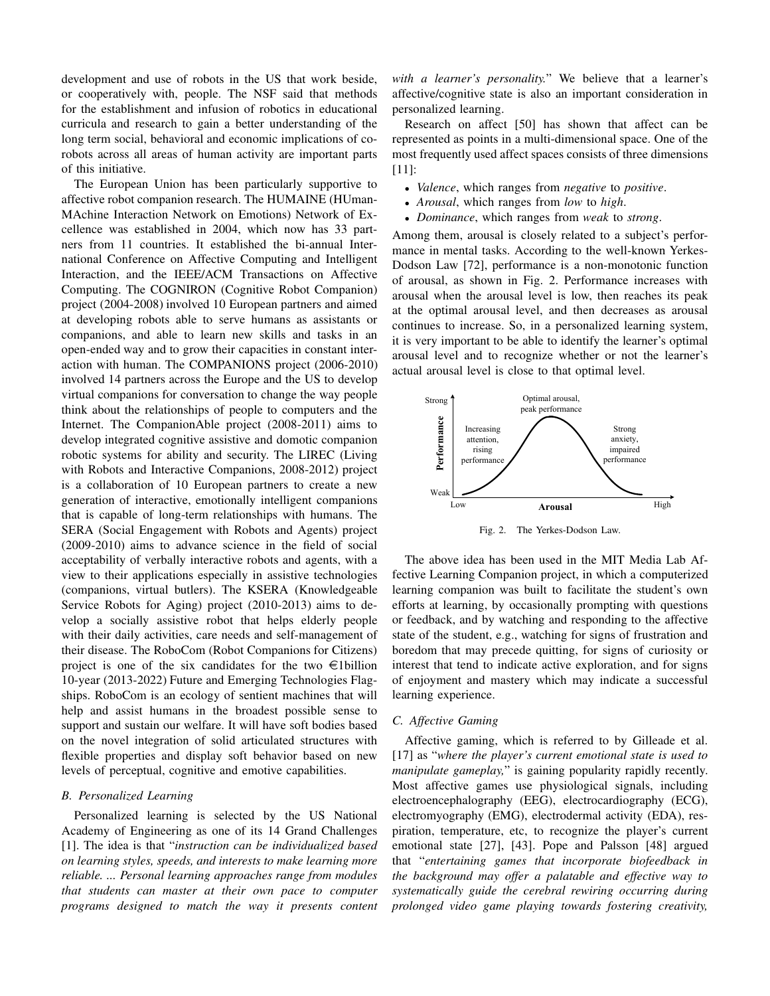development and use of robots in the US that work beside, or cooperatively with, people. The NSF said that methods for the establishment and infusion of robotics in educational curricula and research to gain a better understanding of the long term social, behavioral and economic implications of corobots across all areas of human activity are important parts of this initiative.

The European Union has been particularly supportive to affective robot companion research. The HUMAINE (HUman-MAchine Interaction Network on Emotions) Network of Excellence was established in 2004, which now has 33 partners from 11 countries. It established the bi-annual International Conference on Affective Computing and Intelligent Interaction, and the IEEE/ACM Transactions on Affective Computing. The COGNIRON (Cognitive Robot Companion) project (2004-2008) involved 10 European partners and aimed at developing robots able to serve humans as assistants or companions, and able to learn new skills and tasks in an open-ended way and to grow their capacities in constant interaction with human. The COMPANIONS project (2006-2010) involved 14 partners across the Europe and the US to develop virtual companions for conversation to change the way people think about the relationships of people to computers and the Internet. The CompanionAble project (2008-2011) aims to develop integrated cognitive assistive and domotic companion robotic systems for ability and security. The LIREC (Living with Robots and Interactive Companions, 2008-2012) project is a collaboration of 10 European partners to create a new generation of interactive, emotionally intelligent companions that is capable of long-term relationships with humans. The SERA (Social Engagement with Robots and Agents) project (2009-2010) aims to advance science in the field of social acceptability of verbally interactive robots and agents, with a view to their applications especially in assistive technologies (companions, virtual butlers). The KSERA (Knowledgeable Service Robots for Aging) project (2010-2013) aims to develop a socially assistive robot that helps elderly people with their daily activities, care needs and self-management of their disease. The RoboCom (Robot Companions for Citizens) project is one of the six candidates for the two  $\in$ 1billion 10-year (2013-2022) Future and Emerging Technologies Flagships. RoboCom is an ecology of sentient machines that will help and assist humans in the broadest possible sense to support and sustain our welfare. It will have soft bodies based on the novel integration of solid articulated structures with flexible properties and display soft behavior based on new levels of perceptual, cognitive and emotive capabilities.

#### *B. Personalized Learning*

Personalized learning is selected by the US National Academy of Engineering as one of its 14 Grand Challenges [1]. The idea is that "*instruction can be individualized based on learning styles, speeds, and interests to make learning more reliable. ... Personal learning approaches range from modules that students can master at their own pace to computer programs designed to match the way it presents content* *with a learner's personality.*" We believe that a learner's affective/cognitive state is also an important consideration in personalized learning.

Research on affect [50] has shown that affect can be represented as points in a multi-dimensional space. One of the most frequently used affect spaces consists of three dimensions [11]:

- *Valence*, which ranges from *negative* to *positive*.
- *Arousal*, which ranges from *low* to *high*.
- *Dominance*, which ranges from *weak* to *strong*.

Among them, arousal is closely related to a subject's performance in mental tasks. According to the well-known Yerkes-Dodson Law [72], performance is a non-monotonic function of arousal, as shown in Fig. 2. Performance increases with arousal when the arousal level is low, then reaches its peak at the optimal arousal level, and then decreases as arousal continues to increase. So, in a personalized learning system, it is very important to be able to identify the learner's optimal arousal level and to recognize whether or not the learner's actual arousal level is close to that optimal level.



Fig. 2. The Yerkes-Dodson Law.

The above idea has been used in the MIT Media Lab Affective Learning Companion project, in which a computerized learning companion was built to facilitate the student's own efforts at learning, by occasionally prompting with questions or feedback, and by watching and responding to the affective state of the student, e.g., watching for signs of frustration and boredom that may precede quitting, for signs of curiosity or interest that tend to indicate active exploration, and for signs of enjoyment and mastery which may indicate a successful learning experience.

## *C. Affective Gaming*

Affective gaming, which is referred to by Gilleade et al. [17] as "*where the player's current emotional state is used to manipulate gameplay,*" is gaining popularity rapidly recently. Most affective games use physiological signals, including electroencephalography (EEG), electrocardiography (ECG), electromyography (EMG), electrodermal activity (EDA), respiration, temperature, etc, to recognize the player's current emotional state [27], [43]. Pope and Palsson [48] argued that "*entertaining games that incorporate biofeedback in the background may offer a palatable and effective way to systematically guide the cerebral rewiring occurring during prolonged video game playing towards fostering creativity,*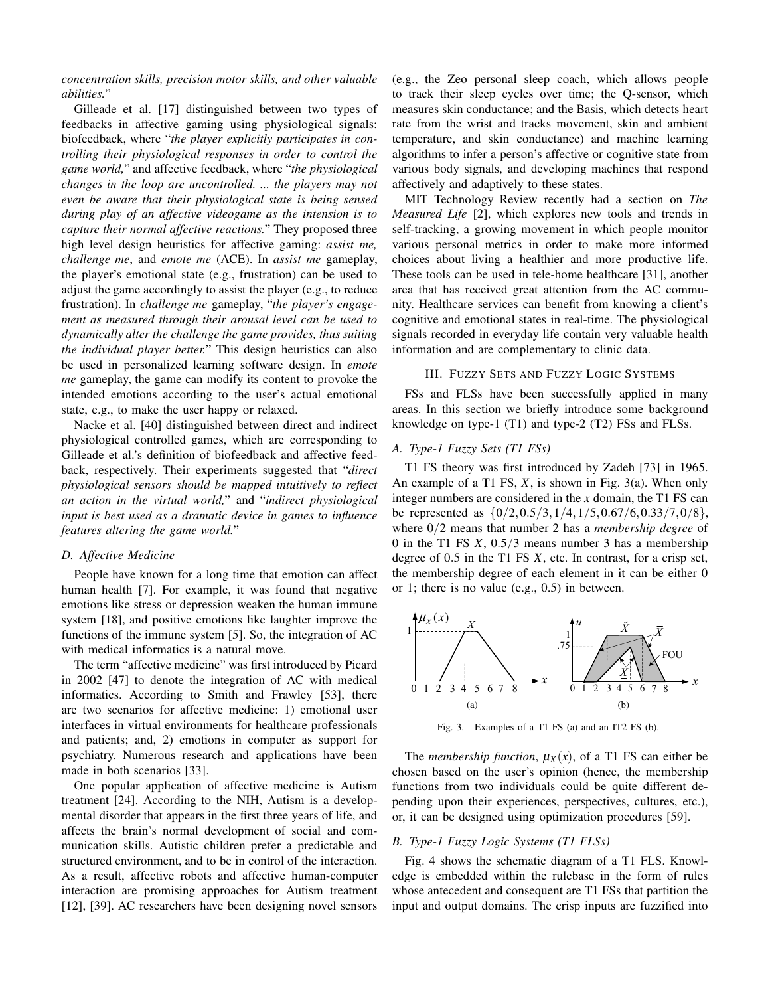*concentration skills, precision motor skills, and other valuable abilities.*"

Gilleade et al. [17] distinguished between two types of feedbacks in affective gaming using physiological signals: biofeedback, where "*the player explicitly participates in controlling their physiological responses in order to control the game world,*" and affective feedback, where "*the physiological changes in the loop are uncontrolled. ... the players may not even be aware that their physiological state is being sensed during play of an affective videogame as the intension is to capture their normal affective reactions.*" They proposed three high level design heuristics for affective gaming: *assist me, challenge me*, and *emote me* (ACE). In *assist me* gameplay, the player's emotional state (e.g., frustration) can be used to adjust the game accordingly to assist the player (e.g., to reduce frustration). In *challenge me* gameplay, "*the player's engagement as measured through their arousal level can be used to dynamically alter the challenge the game provides, thus suiting the individual player better.*" This design heuristics can also be used in personalized learning software design. In *emote me* gameplay, the game can modify its content to provoke the intended emotions according to the user's actual emotional state, e.g., to make the user happy or relaxed.

Nacke et al. [40] distinguished between direct and indirect physiological controlled games, which are corresponding to Gilleade et al.'s definition of biofeedback and affective feedback, respectively. Their experiments suggested that "*direct physiological sensors should be mapped intuitively to reflect an action in the virtual world,*" and "*indirect physiological input is best used as a dramatic device in games to influence features altering the game world.*"

## *D. Affective Medicine*

People have known for a long time that emotion can affect human health [7]. For example, it was found that negative emotions like stress or depression weaken the human immune system [18], and positive emotions like laughter improve the functions of the immune system [5]. So, the integration of AC with medical informatics is a natural move.

The term "affective medicine" was first introduced by Picard in 2002 [47] to denote the integration of AC with medical informatics. According to Smith and Frawley [53], there are two scenarios for affective medicine: 1) emotional user interfaces in virtual environments for healthcare professionals and patients; and, 2) emotions in computer as support for psychiatry. Numerous research and applications have been made in both scenarios [33].

One popular application of affective medicine is Autism treatment [24]. According to the NIH, Autism is a developmental disorder that appears in the first three years of life, and affects the brain's normal development of social and communication skills. Autistic children prefer a predictable and structured environment, and to be in control of the interaction. As a result, affective robots and affective human-computer interaction are promising approaches for Autism treatment [12], [39]. AC researchers have been designing novel sensors

(e.g., the Zeo personal sleep coach, which allows people to track their sleep cycles over time; the Q-sensor, which measures skin conductance; and the Basis, which detects heart rate from the wrist and tracks movement, skin and ambient temperature, and skin conductance) and machine learning algorithms to infer a person's affective or cognitive state from various body signals, and developing machines that respond affectively and adaptively to these states.

MIT Technology Review recently had a section on *The Measured Life* [2], which explores new tools and trends in self-tracking, a growing movement in which people monitor various personal metrics in order to make more informed choices about living a healthier and more productive life. These tools can be used in tele-home healthcare [31], another area that has received great attention from the AC community. Healthcare services can benefit from knowing a client's cognitive and emotional states in real-time. The physiological signals recorded in everyday life contain very valuable health information and are complementary to clinic data.

## III. FUZZY SETS AND FUZZY LOGIC SYSTEMS

FSs and FLSs have been successfully applied in many areas. In this section we briefly introduce some background knowledge on type-1 (T1) and type-2 (T2) FSs and FLSs.

## *A. Type-1 Fuzzy Sets (T1 FSs)*

T1 FS theory was first introduced by Zadeh [73] in 1965. An example of a T1 FS, *X*, is shown in Fig. 3(a). When only integer numbers are considered in the *x* domain, the T1 FS can be represented as  $\{0/2, 0.5/3, 1/4, 1/5, 0.67/6, 0.33/7, 0/8\}$ , where 0/2 means that number 2 has a *membership degree* of 0 in the T1 FS *X*, 0.5/3 means number 3 has a membership degree of 0.5 in the T1 FS *X*, etc. In contrast, for a crisp set, the membership degree of each element in it can be either 0 or 1; there is no value (e.g., 0.5) in between.



Fig. 3. Examples of a T1 FS (a) and an IT2 FS (b).

The *membership function*,  $\mu_X(x)$ , of a T1 FS can either be chosen based on the user's opinion (hence, the membership functions from two individuals could be quite different depending upon their experiences, perspectives, cultures, etc.), or, it can be designed using optimization procedures [59].

## *B. Type-1 Fuzzy Logic Systems (T1 FLSs)*

Fig. 4 shows the schematic diagram of a T1 FLS. Knowledge is embedded within the rulebase in the form of rules whose antecedent and consequent are T1 FSs that partition the input and output domains. The crisp inputs are fuzzified into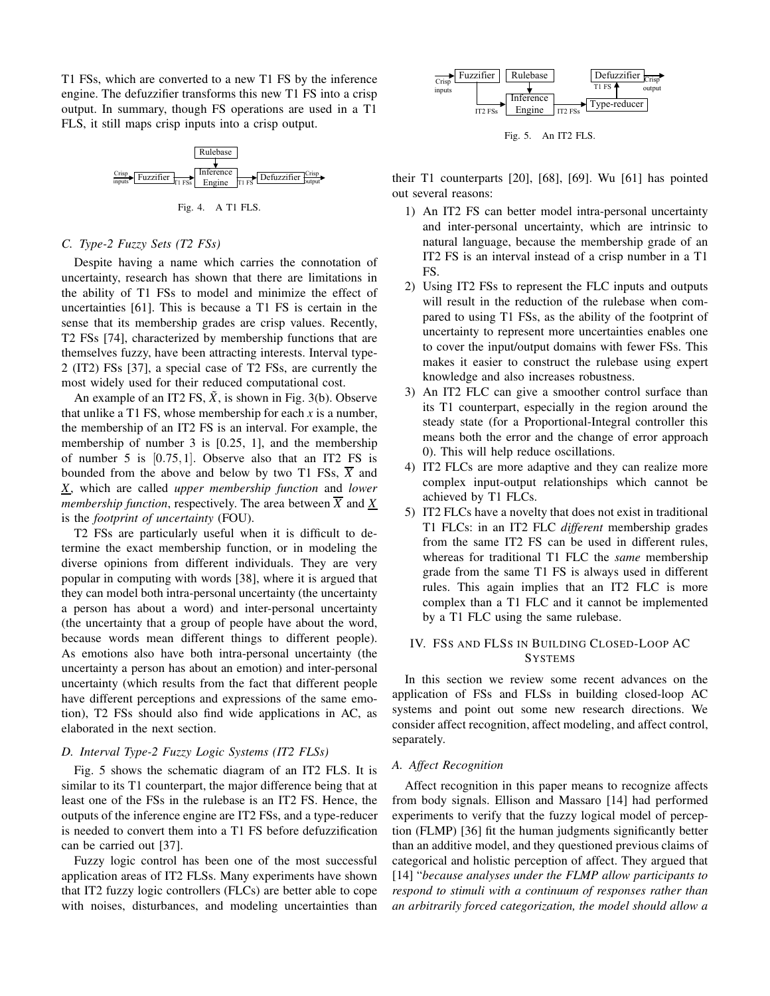T1 FSs, which are converted to a new T1 FS by the inference engine. The defuzzifier transforms this new T1 FS into a crisp output. In summary, though FS operations are used in a T1 FLS, it still maps crisp inputs into a crisp output.



#### *C. Type-2 Fuzzy Sets (T2 FSs)*

Despite having a name which carries the connotation of uncertainty, research has shown that there are limitations in the ability of T1 FSs to model and minimize the effect of uncertainties [61]. This is because a T1 FS is certain in the sense that its membership grades are crisp values. Recently, T2 FSs [74], characterized by membership functions that are themselves fuzzy, have been attracting interests. Interval type-2 (IT2) FSs [37], a special case of T2 FSs, are currently the most widely used for their reduced computational cost.

An example of an IT2 FS,  $\hat{X}$ , is shown in Fig. 3(b). Observe that unlike a T1 FS, whose membership for each  $x$  is a number, the membership of an IT2 FS is an interval. For example, the membership of number 3 is [0.25, 1], and the membership of number 5 is  $[0.75, 1]$ . Observe also that an IT2 FS is bounded from the above and below by two T1 FSs,  $\overline{X}$  and *X*, which are called *upper membership function* and *lower membership function*, respectively. The area between  $\overline{X}$  and  $\underline{X}$ is the *footprint of uncertainty* (FOU).

T2 FSs are particularly useful when it is difficult to determine the exact membership function, or in modeling the diverse opinions from different individuals. They are very popular in computing with words [38], where it is argued that they can model both intra-personal uncertainty (the uncertainty a person has about a word) and inter-personal uncertainty (the uncertainty that a group of people have about the word, because words mean different things to different people). As emotions also have both intra-personal uncertainty (the uncertainty a person has about an emotion) and inter-personal uncertainty (which results from the fact that different people have different perceptions and expressions of the same emotion), T2 FSs should also find wide applications in AC, as elaborated in the next section.

#### *D. Interval Type-2 Fuzzy Logic Systems (IT2 FLSs)*

Fig. 5 shows the schematic diagram of an IT2 FLS. It is similar to its T1 counterpart, the major difference being that at least one of the FSs in the rulebase is an IT2 FS. Hence, the outputs of the inference engine are IT2 FSs, and a type-reducer is needed to convert them into a T1 FS before defuzzification can be carried out [37].

Fuzzy logic control has been one of the most successful application areas of IT2 FLSs. Many experiments have shown that IT2 fuzzy logic controllers (FLCs) are better able to cope with noises, disturbances, and modeling uncertainties than



Fig. 5. An IT2 FLS.

their T1 counterparts [20], [68], [69]. Wu [61] has pointed out several reasons:

- 1) An IT2 FS can better model intra-personal uncertainty and inter-personal uncertainty, which are intrinsic to natural language, because the membership grade of an IT2 FS is an interval instead of a crisp number in a T1 FS.
- 2) Using IT2 FSs to represent the FLC inputs and outputs will result in the reduction of the rulebase when compared to using T1 FSs, as the ability of the footprint of uncertainty to represent more uncertainties enables one to cover the input/output domains with fewer FSs. This makes it easier to construct the rulebase using expert knowledge and also increases robustness.
- 3) An IT2 FLC can give a smoother control surface than its T1 counterpart, especially in the region around the steady state (for a Proportional-Integral controller this means both the error and the change of error approach 0). This will help reduce oscillations.
- 4) IT2 FLCs are more adaptive and they can realize more complex input-output relationships which cannot be achieved by T1 FLCs.
- 5) IT2 FLCs have a novelty that does not exist in traditional T1 FLCs: in an IT2 FLC *different* membership grades from the same IT2 FS can be used in different rules, whereas for traditional T1 FLC the *same* membership grade from the same T1 FS is always used in different rules. This again implies that an IT2 FLC is more complex than a T1 FLC and it cannot be implemented by a T1 FLC using the same rulebase.

## IV. FSS AND FLSS IN BUILDING CLOSED-LOOP AC **SYSTEMS**

In this section we review some recent advances on the application of FSs and FLSs in building closed-loop AC systems and point out some new research directions. We consider affect recognition, affect modeling, and affect control, separately.

#### *A. Affect Recognition*

Affect recognition in this paper means to recognize affects from body signals. Ellison and Massaro [14] had performed experiments to verify that the fuzzy logical model of perception (FLMP) [36] fit the human judgments significantly better than an additive model, and they questioned previous claims of categorical and holistic perception of affect. They argued that [14] "*because analyses under the FLMP allow participants to respond to stimuli with a continuum of responses rather than an arbitrarily forced categorization, the model should allow a*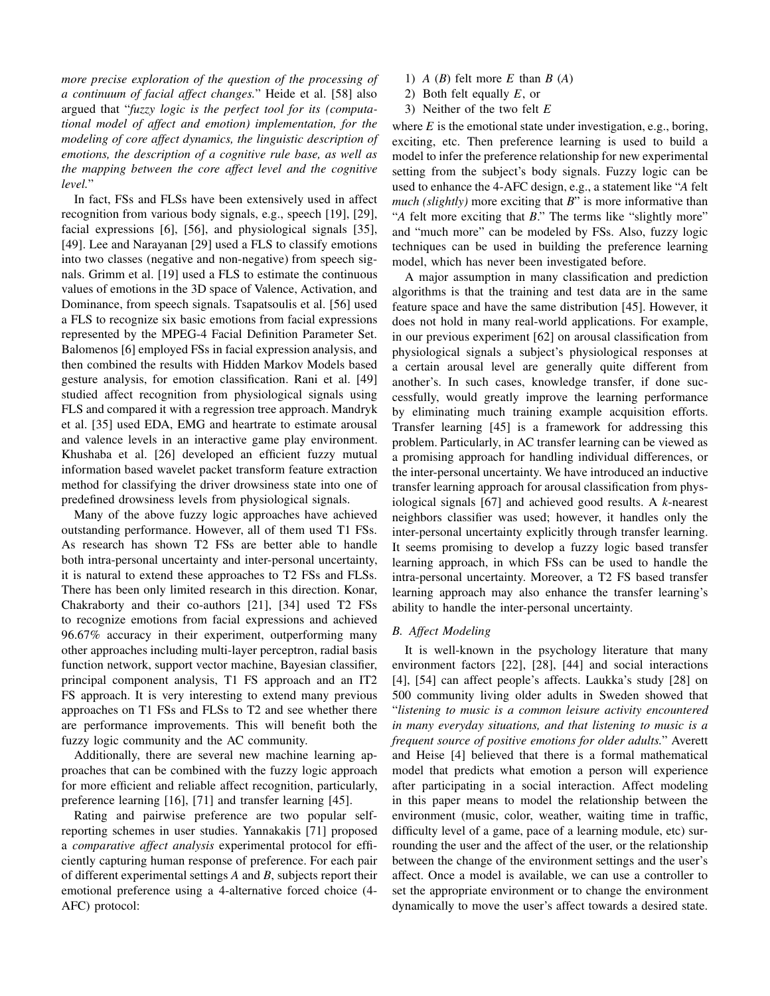*more precise exploration of the question of the processing of a continuum of facial affect changes.*" Heide et al. [58] also argued that "*fuzzy logic is the perfect tool for its (computational model of affect and emotion) implementation, for the modeling of core affect dynamics, the linguistic description of emotions, the description of a cognitive rule base, as well as the mapping between the core affect level and the cognitive level.*"

In fact, FSs and FLSs have been extensively used in affect recognition from various body signals, e.g., speech [19], [29], facial expressions [6], [56], and physiological signals [35], [49]. Lee and Narayanan [29] used a FLS to classify emotions into two classes (negative and non-negative) from speech signals. Grimm et al. [19] used a FLS to estimate the continuous values of emotions in the 3D space of Valence, Activation, and Dominance, from speech signals. Tsapatsoulis et al. [56] used a FLS to recognize six basic emotions from facial expressions represented by the MPEG-4 Facial Definition Parameter Set. Balomenos [6] employed FSs in facial expression analysis, and then combined the results with Hidden Markov Models based gesture analysis, for emotion classification. Rani et al. [49] studied affect recognition from physiological signals using FLS and compared it with a regression tree approach. Mandryk et al. [35] used EDA, EMG and heartrate to estimate arousal and valence levels in an interactive game play environment. Khushaba et al. [26] developed an efficient fuzzy mutual information based wavelet packet transform feature extraction method for classifying the driver drowsiness state into one of predefined drowsiness levels from physiological signals.

Many of the above fuzzy logic approaches have achieved outstanding performance. However, all of them used T1 FSs. As research has shown T2 FSs are better able to handle both intra-personal uncertainty and inter-personal uncertainty, it is natural to extend these approaches to T2 FSs and FLSs. There has been only limited research in this direction. Konar, Chakraborty and their co-authors [21], [34] used T2 FSs to recognize emotions from facial expressions and achieved 96.67% accuracy in their experiment, outperforming many other approaches including multi-layer perceptron, radial basis function network, support vector machine, Bayesian classifier, principal component analysis, T1 FS approach and an IT2 FS approach. It is very interesting to extend many previous approaches on T1 FSs and FLSs to T2 and see whether there are performance improvements. This will benefit both the fuzzy logic community and the AC community.

Additionally, there are several new machine learning approaches that can be combined with the fuzzy logic approach for more efficient and reliable affect recognition, particularly, preference learning [16], [71] and transfer learning [45].

Rating and pairwise preference are two popular selfreporting schemes in user studies. Yannakakis [71] proposed a *comparative affect analysis* experimental protocol for efficiently capturing human response of preference. For each pair of different experimental settings *A* and *B*, subjects report their emotional preference using a 4-alternative forced choice (4- AFC) protocol:

- 1) *A* (*B*) felt more *E* than *B* (*A*)
- 2) Both felt equally *E*, or
- 3) Neither of the two felt *E*

where  $E$  is the emotional state under investigation, e.g., boring, exciting, etc. Then preference learning is used to build a model to infer the preference relationship for new experimental setting from the subject's body signals. Fuzzy logic can be used to enhance the 4-AFC design, e.g., a statement like "*A* felt *much (slightly)* more exciting that *B*" is more informative than "*A* felt more exciting that *B*." The terms like "slightly more" and "much more" can be modeled by FSs. Also, fuzzy logic techniques can be used in building the preference learning model, which has never been investigated before.

A major assumption in many classification and prediction algorithms is that the training and test data are in the same feature space and have the same distribution [45]. However, it does not hold in many real-world applications. For example, in our previous experiment [62] on arousal classification from physiological signals a subject's physiological responses at a certain arousal level are generally quite different from another's. In such cases, knowledge transfer, if done successfully, would greatly improve the learning performance by eliminating much training example acquisition efforts. Transfer learning [45] is a framework for addressing this problem. Particularly, in AC transfer learning can be viewed as a promising approach for handling individual differences, or the inter-personal uncertainty. We have introduced an inductive transfer learning approach for arousal classification from physiological signals [67] and achieved good results. A *k*-nearest neighbors classifier was used; however, it handles only the inter-personal uncertainty explicitly through transfer learning. It seems promising to develop a fuzzy logic based transfer learning approach, in which FSs can be used to handle the intra-personal uncertainty. Moreover, a T2 FS based transfer learning approach may also enhance the transfer learning's ability to handle the inter-personal uncertainty.

## *B. Affect Modeling*

It is well-known in the psychology literature that many environment factors [22], [28], [44] and social interactions [4], [54] can affect people's affects. Laukka's study [28] on 500 community living older adults in Sweden showed that "*listening to music is a common leisure activity encountered in many everyday situations, and that listening to music is a frequent source of positive emotions for older adults.*" Averett and Heise [4] believed that there is a formal mathematical model that predicts what emotion a person will experience after participating in a social interaction. Affect modeling in this paper means to model the relationship between the environment (music, color, weather, waiting time in traffic, difficulty level of a game, pace of a learning module, etc) surrounding the user and the affect of the user, or the relationship between the change of the environment settings and the user's affect. Once a model is available, we can use a controller to set the appropriate environment or to change the environment dynamically to move the user's affect towards a desired state.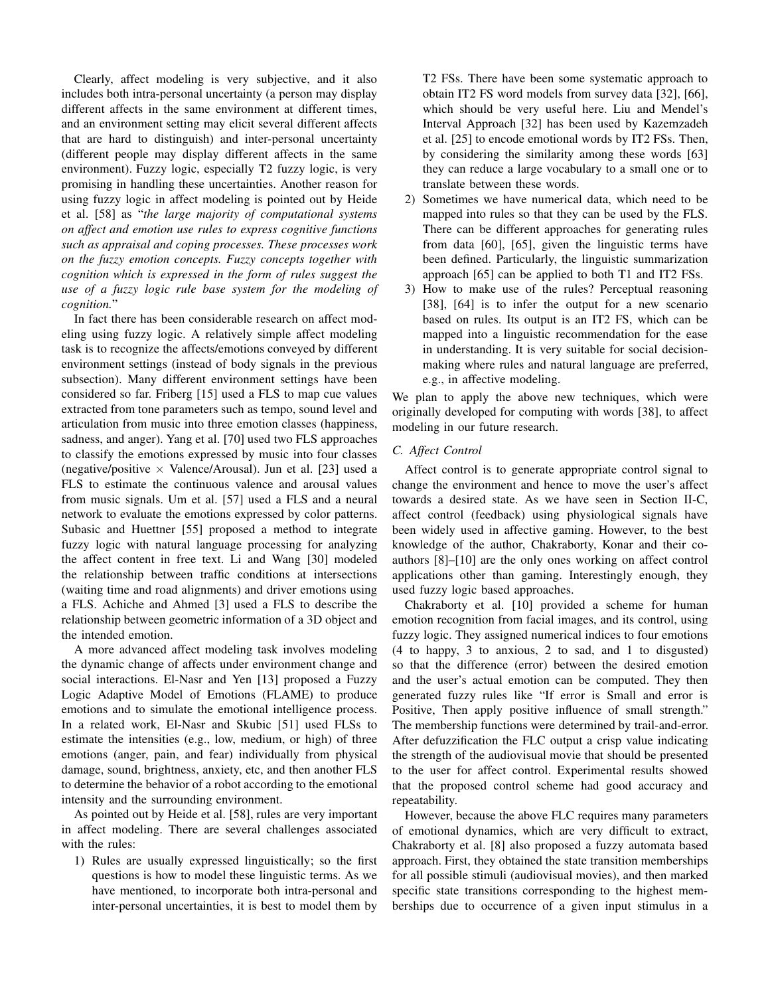Clearly, affect modeling is very subjective, and it also includes both intra-personal uncertainty (a person may display different affects in the same environment at different times, and an environment setting may elicit several different affects that are hard to distinguish) and inter-personal uncertainty (different people may display different affects in the same environment). Fuzzy logic, especially T2 fuzzy logic, is very promising in handling these uncertainties. Another reason for using fuzzy logic in affect modeling is pointed out by Heide et al. [58] as "*the large majority of computational systems on affect and emotion use rules to express cognitive functions such as appraisal and coping processes. These processes work on the fuzzy emotion concepts. Fuzzy concepts together with cognition which is expressed in the form of rules suggest the use of a fuzzy logic rule base system for the modeling of cognition.*"

In fact there has been considerable research on affect modeling using fuzzy logic. A relatively simple affect modeling task is to recognize the affects/emotions conveyed by different environment settings (instead of body signals in the previous subsection). Many different environment settings have been considered so far. Friberg [15] used a FLS to map cue values extracted from tone parameters such as tempo, sound level and articulation from music into three emotion classes (happiness, sadness, and anger). Yang et al. [70] used two FLS approaches to classify the emotions expressed by music into four classes (negative/positive  $\times$  Valence/Arousal). Jun et al. [23] used a FLS to estimate the continuous valence and arousal values from music signals. Um et al. [57] used a FLS and a neural network to evaluate the emotions expressed by color patterns. Subasic and Huettner [55] proposed a method to integrate fuzzy logic with natural language processing for analyzing the affect content in free text. Li and Wang [30] modeled the relationship between traffic conditions at intersections (waiting time and road alignments) and driver emotions using a FLS. Achiche and Ahmed [3] used a FLS to describe the relationship between geometric information of a 3D object and the intended emotion.

A more advanced affect modeling task involves modeling the dynamic change of affects under environment change and social interactions. El-Nasr and Yen [13] proposed a Fuzzy Logic Adaptive Model of Emotions (FLAME) to produce emotions and to simulate the emotional intelligence process. In a related work, El-Nasr and Skubic [51] used FLSs to estimate the intensities (e.g., low, medium, or high) of three emotions (anger, pain, and fear) individually from physical damage, sound, brightness, anxiety, etc, and then another FLS to determine the behavior of a robot according to the emotional intensity and the surrounding environment.

As pointed out by Heide et al. [58], rules are very important in affect modeling. There are several challenges associated with the rules:

1) Rules are usually expressed linguistically; so the first questions is how to model these linguistic terms. As we have mentioned, to incorporate both intra-personal and inter-personal uncertainties, it is best to model them by T2 FSs. There have been some systematic approach to obtain IT2 FS word models from survey data [32], [66], which should be very useful here. Liu and Mendel's Interval Approach [32] has been used by Kazemzadeh et al. [25] to encode emotional words by IT2 FSs. Then, by considering the similarity among these words [63] they can reduce a large vocabulary to a small one or to translate between these words.

- 2) Sometimes we have numerical data, which need to be mapped into rules so that they can be used by the FLS. There can be different approaches for generating rules from data [60], [65], given the linguistic terms have been defined. Particularly, the linguistic summarization approach [65] can be applied to both T1 and IT2 FSs.
- 3) How to make use of the rules? Perceptual reasoning [38], [64] is to infer the output for a new scenario based on rules. Its output is an IT2 FS, which can be mapped into a linguistic recommendation for the ease in understanding. It is very suitable for social decisionmaking where rules and natural language are preferred, e.g., in affective modeling.

We plan to apply the above new techniques, which were originally developed for computing with words [38], to affect modeling in our future research.

## *C. Affect Control*

Affect control is to generate appropriate control signal to change the environment and hence to move the user's affect towards a desired state. As we have seen in Section II-C, affect control (feedback) using physiological signals have been widely used in affective gaming. However, to the best knowledge of the author, Chakraborty, Konar and their coauthors [8]–[10] are the only ones working on affect control applications other than gaming. Interestingly enough, they used fuzzy logic based approaches.

Chakraborty et al. [10] provided a scheme for human emotion recognition from facial images, and its control, using fuzzy logic. They assigned numerical indices to four emotions (4 to happy, 3 to anxious, 2 to sad, and 1 to disgusted) so that the difference (error) between the desired emotion and the user's actual emotion can be computed. They then generated fuzzy rules like "If error is Small and error is Positive, Then apply positive influence of small strength." The membership functions were determined by trail-and-error. After defuzzification the FLC output a crisp value indicating the strength of the audiovisual movie that should be presented to the user for affect control. Experimental results showed that the proposed control scheme had good accuracy and repeatability.

However, because the above FLC requires many parameters of emotional dynamics, which are very difficult to extract, Chakraborty et al. [8] also proposed a fuzzy automata based approach. First, they obtained the state transition memberships for all possible stimuli (audiovisual movies), and then marked specific state transitions corresponding to the highest memberships due to occurrence of a given input stimulus in a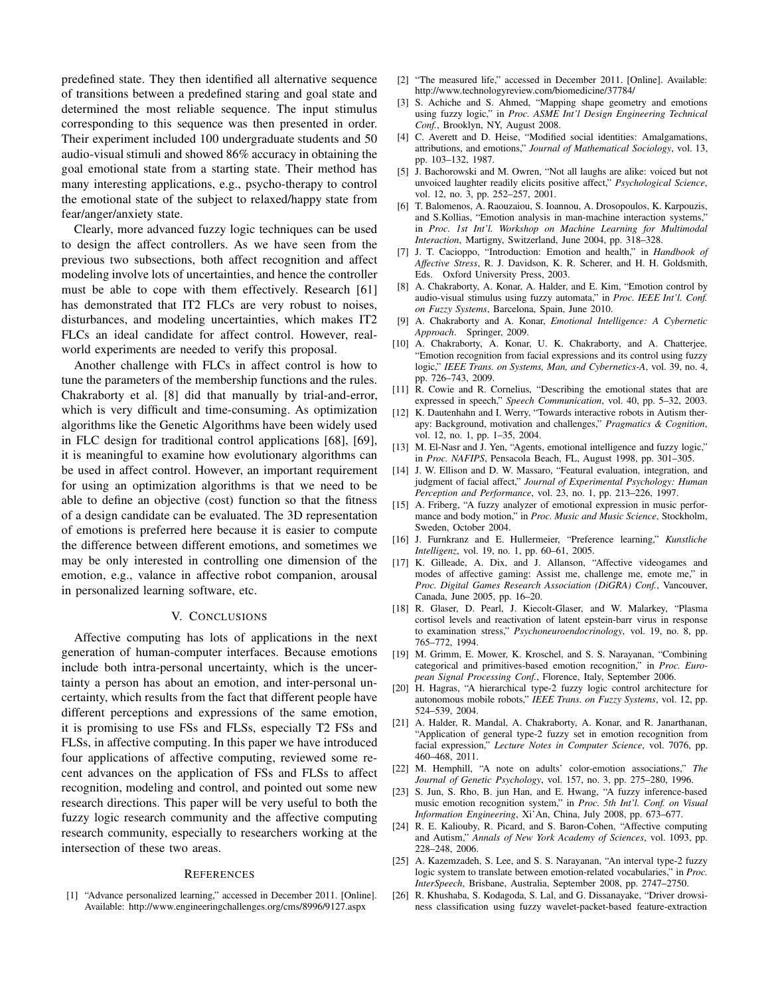predefined state. They then identified all alternative sequence of transitions between a predefined staring and goal state and determined the most reliable sequence. The input stimulus corresponding to this sequence was then presented in order. Their experiment included 100 undergraduate students and 50 audio-visual stimuli and showed 86% accuracy in obtaining the goal emotional state from a starting state. Their method has many interesting applications, e.g., psycho-therapy to control the emotional state of the subject to relaxed/happy state from fear/anger/anxiety state.

Clearly, more advanced fuzzy logic techniques can be used to design the affect controllers. As we have seen from the previous two subsections, both affect recognition and affect modeling involve lots of uncertainties, and hence the controller must be able to cope with them effectively. Research [61] has demonstrated that IT2 FLCs are very robust to noises, disturbances, and modeling uncertainties, which makes IT2 FLCs an ideal candidate for affect control. However, realworld experiments are needed to verify this proposal.

Another challenge with FLCs in affect control is how to tune the parameters of the membership functions and the rules. Chakraborty et al. [8] did that manually by trial-and-error, which is very difficult and time-consuming. As optimization algorithms like the Genetic Algorithms have been widely used in FLC design for traditional control applications [68], [69], it is meaningful to examine how evolutionary algorithms can be used in affect control. However, an important requirement for using an optimization algorithms is that we need to be able to define an objective (cost) function so that the fitness of a design candidate can be evaluated. The 3D representation of emotions is preferred here because it is easier to compute the difference between different emotions, and sometimes we may be only interested in controlling one dimension of the emotion, e.g., valance in affective robot companion, arousal in personalized learning software, etc.

#### V. CONCLUSIONS

Affective computing has lots of applications in the next generation of human-computer interfaces. Because emotions include both intra-personal uncertainty, which is the uncertainty a person has about an emotion, and inter-personal uncertainty, which results from the fact that different people have different perceptions and expressions of the same emotion, it is promising to use FSs and FLSs, especially T2 FSs and FLSs, in affective computing. In this paper we have introduced four applications of affective computing, reviewed some recent advances on the application of FSs and FLSs to affect recognition, modeling and control, and pointed out some new research directions. This paper will be very useful to both the fuzzy logic research community and the affective computing research community, especially to researchers working at the intersection of these two areas.

#### **REFERENCES**

[1] "Advance personalized learning," accessed in December 2011. [Online]. Available: http://www.engineeringchallenges.org/cms/8996/9127.aspx

- [2] "The measured life," accessed in December 2011. [Online]. Available: http://www.technologyreview.com/biomedicine/37784/
- [3] S. Achiche and S. Ahmed, "Mapping shape geometry and emotions using fuzzy logic," in *Proc. ASME Int'l Design Engineering Technical Conf.*, Brooklyn, NY, August 2008.
- [4] C. Averett and D. Heise, "Modified social identities: Amalgamations, attributions, and emotions," *Journal of Mathematical Sociology*, vol. 13, pp. 103–132, 1987.
- [5] J. Bachorowski and M. Owren, "Not all laughs are alike: voiced but not unvoiced laughter readily elicits positive affect," *Psychological Science*, vol. 12, no. 3, pp. 252–257, 2001.
- [6] T. Balomenos, A. Raouzaiou, S. Ioannou, A. Drosopoulos, K. Karpouzis, and S.Kollias, "Emotion analysis in man-machine interaction systems," in *Proc. 1st Int'l. Workshop on Machine Learning for Multimodal Interaction*, Martigny, Switzerland, June 2004, pp. 318–328.
- [7] J. T. Cacioppo, "Introduction: Emotion and health," in *Handbook of Affective Stress*, R. J. Davidson, K. R. Scherer, and H. H. Goldsmith, Eds. Oxford University Press, 2003.
- [8] A. Chakraborty, A. Konar, A. Halder, and E. Kim, "Emotion control by audio-visual stimulus using fuzzy automata," in *Proc. IEEE Int'l. Conf. on Fuzzy Systems*, Barcelona, Spain, June 2010.
- [9] A. Chakraborty and A. Konar, *Emotional Intelligence: A Cybernetic Approach*. Springer, 2009.
- [10] A. Chakraborty, A. Konar, U. K. Chakraborty, and A. Chatterjee, "Emotion recognition from facial expressions and its control using fuzzy logic," *IEEE Trans. on Systems, Man, and Cybernetics-A*, vol. 39, no. 4, pp. 726–743, 2009.
- [11] R. Cowie and R. Cornelius, "Describing the emotional states that are expressed in speech," *Speech Communication*, vol. 40, pp. 5–32, 2003.
- [12] K. Dautenhahn and I. Werry, "Towards interactive robots in Autism therapy: Background, motivation and challenges," *Pragmatics & Cognition*, vol. 12, no. 1, pp. 1–35, 2004.
- [13] M. El-Nasr and J. Yen, "Agents, emotional intelligence and fuzzy logic," in *Proc. NAFIPS*, Pensacola Beach, FL, August 1998, pp. 301–305.
- [14] J. W. Ellison and D. W. Massaro, "Featural evaluation, integration, and judgment of facial affect," *Journal of Experimental Psychology: Human Perception and Performance*, vol. 23, no. 1, pp. 213–226, 1997.
- [15] A. Friberg, "A fuzzy analyzer of emotional expression in music performance and body motion," in *Proc. Music and Music Science*, Stockholm, Sweden, October 2004.
- [16] J. Furnkranz and E. Hullermeier, "Preference learning," *Kunstliche Intelligenz*, vol. 19, no. 1, pp. 60–61, 2005.
- [17] K. Gilleade, A. Dix, and J. Allanson, "Affective videogames and modes of affective gaming: Assist me, challenge me, emote me," in *Proc. Digital Games Research Association (DiGRA) Conf.*, Vancouver, Canada, June 2005, pp. 16–20.
- [18] R. Glaser, D. Pearl, J. Kiecolt-Glaser, and W. Malarkey, "Plasma cortisol levels and reactivation of latent epstein-barr virus in response to examination stress," *Psychoneuroendocrinology*, vol. 19, no. 8, pp. 765–772, 1994.
- [19] M. Grimm, E. Mower, K. Kroschel, and S. S. Narayanan, "Combining categorical and primitives-based emotion recognition," in *Proc. European Signal Processing Conf.*, Florence, Italy, September 2006.
- [20] H. Hagras, "A hierarchical type-2 fuzzy logic control architecture for autonomous mobile robots," *IEEE Trans. on Fuzzy Systems*, vol. 12, pp. 524–539, 2004.
- [21] A. Halder, R. Mandal, A. Chakraborty, A. Konar, and R. Janarthanan, "Application of general type-2 fuzzy set in emotion recognition from facial expression," *Lecture Notes in Computer Science*, vol. 7076, pp. 460–468, 2011.
- [22] M. Hemphill, "A note on adults' color-emotion associations," *The Journal of Genetic Psychology*, vol. 157, no. 3, pp. 275–280, 1996.
- [23] S. Jun, S. Rho, B. jun Han, and E. Hwang, "A fuzzy inference-based music emotion recognition system," in *Proc. 5th Int'l. Conf. on Visual Information Engineering*, Xi'An, China, July 2008, pp. 673–677.
- [24] R. E. Kaliouby, R. Picard, and S. Baron-Cohen, "Affective computing and Autism," *Annals of New York Academy of Sciences*, vol. 1093, pp. 228–248, 2006.
- [25] A. Kazemzadeh, S. Lee, and S. S. Narayanan, "An interval type-2 fuzzy logic system to translate between emotion-related vocabularies," in *Proc. InterSpeech*, Brisbane, Australia, September 2008, pp. 2747–2750.
- [26] R. Khushaba, S. Kodagoda, S. Lal, and G. Dissanayake, "Driver drowsiness classification using fuzzy wavelet-packet-based feature-extraction